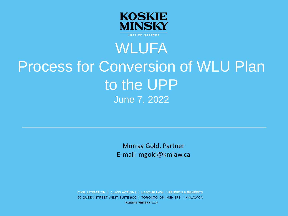

### WLUFA Process for Conversion of WLU Plan to the UPP June 7, 2022

Murray Gold, Partner E-mail: mgold@kmlaw.ca

CIVIL LITIGATION | CLASS ACTIONS | LABOUR LAW | PENSION & BENEFITS 20 QUEEN STREET WEST, SUITE 900 | TORONTO, ON M5H 3R3 | KMLAW.CA **KOSKIE MINSKY LLP**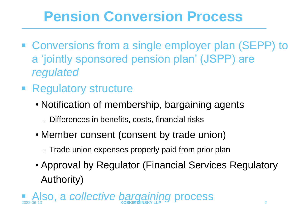## **Pension Conversion Process**

- Conversions from a single employer plan (SEPP) to a 'jointly sponsored pension plan' (JSPP) are *regulated*
- **Example 1 Regulatory structure** 
	- Notification of membership, bargaining agents
		- o Differences in benefits, costs, financial risks
	- Member consent (consent by trade union)
		- $\circ$  Trade union expenses properly paid from prior plan
	- Approval by Regulator (Financial Services Regulatory Authority)

Also, a *collective bargaining* process 2022-06-13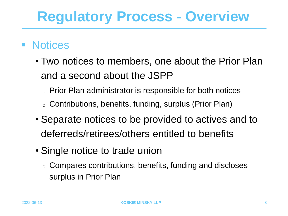### ■ Notices

- Two notices to members, one about the Prior Plan and a second about the JSPP
	- o Prior Plan administrator is responsible for both notices
	- <sup>o</sup> Contributions, benefits, funding, surplus (Prior Plan)
- Separate notices to be provided to actives and to deferreds/retirees/others entitled to benefits
- Single notice to trade union
	- o Compares contributions, benefits, funding and discloses surplus in Prior Plan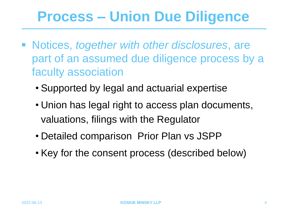### **Process – Union Due Diligence**

- Notices, *together with other disclosures*, are part of an assumed due diligence process by a faculty association
	- Supported by legal and actuarial expertise
	- Union has legal right to access plan documents, valuations, filings with the Regulator
	- Detailed comparison Prior Plan vs JSPP
	- Key for the consent process (described below)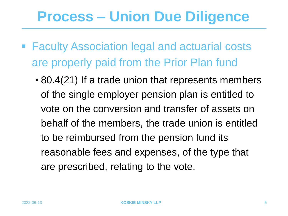### **Process – Union Due Diligence**

- Faculty Association legal and actuarial costs are properly paid from the Prior Plan fund
	- 80.4(21) If a trade union that represents members of the single employer pension plan is entitled to vote on the conversion and transfer of assets on behalf of the members, the trade union is entitled to be reimbursed from the pension fund its reasonable fees and expenses, of the type that are prescribed, relating to the vote.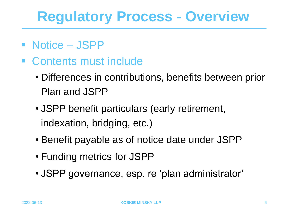- Notice JSPP
- Contents must include
	- Differences in contributions, benefits between prior Plan and JSPP
	- JSPP benefit particulars (early retirement, indexation, bridging, etc.)
	- Benefit payable as of notice date under JSPP
	- Funding metrics for JSPP
	- JSPP governance, esp. re 'plan administrator'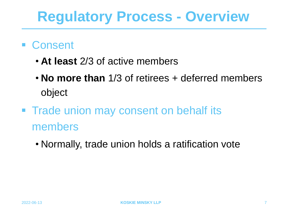- Consent
	- **At least** 2/3 of active members
	- **No more than** 1/3 of retirees + deferred members object
- **Trade union may consent on behalf its** members
	- Normally, trade union holds a ratification vote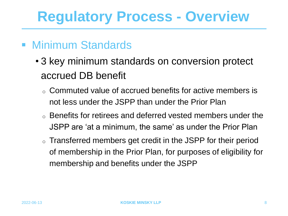### ■ Minimum Standards

- 3 key minimum standards on conversion protect accrued DB benefit
	- o Commuted value of accrued benefits for active members is not less under the JSPP than under the Prior Plan
	- o Benefits for retirees and deferred vested members under the JSPP are 'at a minimum, the same' as under the Prior Plan
	- o Transferred members get credit in the JSPP for their period of membership in the Prior Plan, for purposes of eligibility for membership and benefits under the JSPP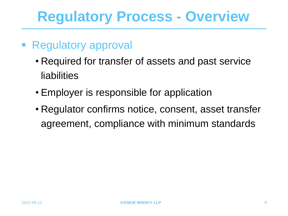- Regulatory approval
	- Required for transfer of assets and past service liabilities
	- Employer is responsible for application
	- Regulator confirms notice, consent, asset transfer agreement, compliance with minimum standards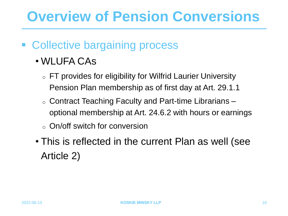### **Overview of Pension Conversions**

### ■ Collective bargaining process

- WLUFA CAs
	- o FT provides for eligibility for Wilfrid Laurier University Pension Plan membership as of first day at Art. 29.1.1
	- o Contract Teaching Faculty and Part-time Librarians optional membership at Art. 24.6.2 with hours or earnings
	- o On/off switch for conversion
- This is reflected in the current Plan as well (see Article 2)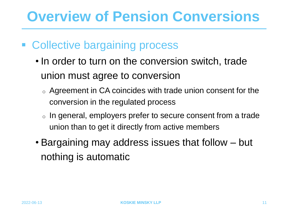### **Overview of Pension Conversions**

- Collective bargaining process
	- In order to turn on the conversion switch, trade union must agree to conversion
		- $\circ$  Agreement in CA coincides with trade union consent for the conversion in the regulated process
		- o In general, employers prefer to secure consent from a trade union than to get it directly from active members
	- Bargaining may address issues that follow but nothing is automatic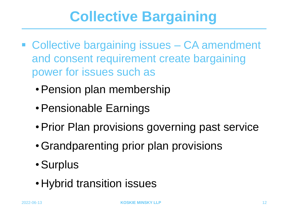- Collective bargaining issues CA amendment and consent requirement create bargaining power for issues such as
	- •Pension plan membership
	- •Pensionable Earnings
	- •Prior Plan provisions governing past service
	- •Grandparenting prior plan provisions
	- •Surplus
	- Hybrid transition issues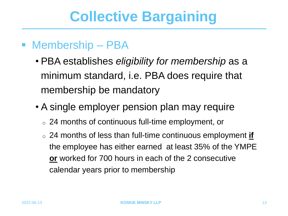#### ■ Membership – PBA

- PBA establishes *eligibility for membership* as a minimum standard, i.e. PBA does require that membership be mandatory
- A single employer pension plan may require
	- o 24 months of continuous full-time employment, or
	- o 24 months of less than full-time continuous employment **if**  the employee has either earned at least 35% of the YMPE **or** worked for 700 hours in each of the 2 consecutive calendar years prior to membership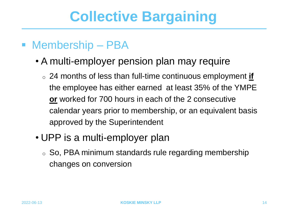#### ■ Membership – PBA

- A multi-employer pension plan may require
	- o 24 months of less than full-time continuous employment **if**  the employee has either earned at least 35% of the YMPE **or** worked for 700 hours in each of the 2 consecutive calendar years prior to membership, or an equivalent basis approved by the Superintendent
- UPP is a multi-employer plan
	- o So, PBA minimum standards rule regarding membership changes on conversion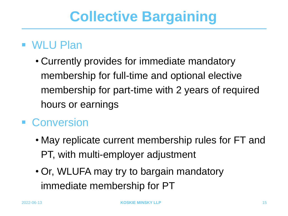### ■ WLU Plan

• Currently provides for immediate mandatory membership for full-time and optional elective membership for part-time with 2 years of required hours or earnings

### ■ Conversion

- May replicate current membership rules for FT and PT, with multi-employer adjustment
- Or, WLUFA may try to bargain mandatory immediate membership for PT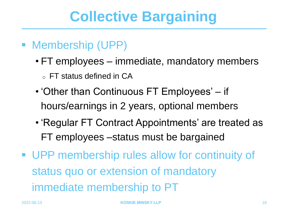- Membership (UPP)
	- FT employees immediate, mandatory members  $\circ$  FT status defined in CA
	- 'Other than Continuous FT Employees' if hours/earnings in 2 years, optional members
	- 'Regular FT Contract Appointments' are treated as FT employees –status must be bargained
- UPP membership rules allow for continuity of status quo or extension of mandatory immediate membership to PT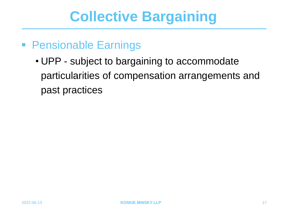#### ■ Pensionable Earnings

• UPP - subject to bargaining to accommodate particularities of compensation arrangements and past practices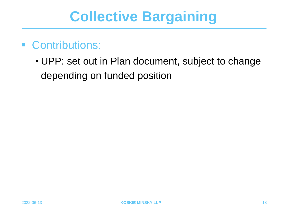- Contributions:
	- UPP: set out in Plan document, subject to change depending on funded position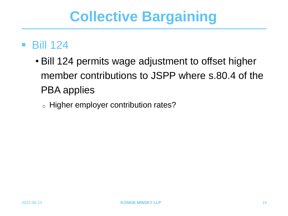#### $\blacksquare$  Bill 124

- Bill 124 permits wage adjustment to offset higher member contributions to JSPP where s.80.4 of the PBA applies
	- <sup>o</sup> Higher employer contribution rates?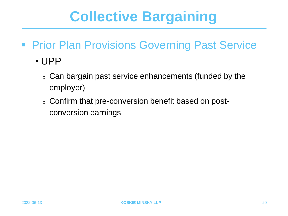- **Prior Plan Provisions Governing Past Service** 
	- UPP
		- o Can bargain past service enhancements (funded by the employer)
		- o Confirm that pre-conversion benefit based on postconversion earnings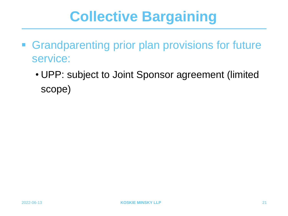- **Grandparenting prior plan provisions for future** service:
	- UPP: subject to Joint Sponsor agreement (limited scope)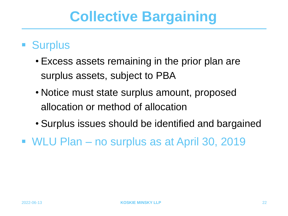### ■ Surplus

- Excess assets remaining in the prior plan are surplus assets, subject to PBA
- Notice must state surplus amount, proposed allocation or method of allocation
- Surplus issues should be identified and bargained
- WLU Plan no surplus as at April 30, 2019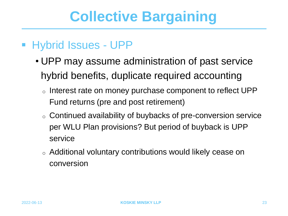#### ■ Hybrid Issues - UPP

- UPP may assume administration of past service hybrid benefits, duplicate required accounting
	- o Interest rate on money purchase component to reflect UPP Fund returns (pre and post retirement)
	- o Continued availability of buybacks of pre-conversion service per WLU Plan provisions? But period of buyback is UPP service
	- o Additional voluntary contributions would likely cease on conversion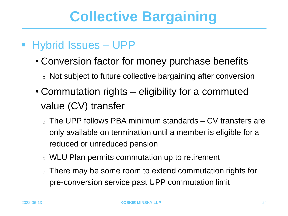### ■ Hybrid Issues – UPP

- Conversion factor for money purchase benefits
	- o Not subject to future collective bargaining after conversion
- Commutation rights eligibility for a commuted value (CV) transfer
	- $\circ$  The UPP follows PBA minimum standards CV transfers are only available on termination until a member is eligible for a reduced or unreduced pension
	- o WLU Plan permits commutation up to retirement
	- There may be some room to extend commutation rights for pre-conversion service past UPP commutation limit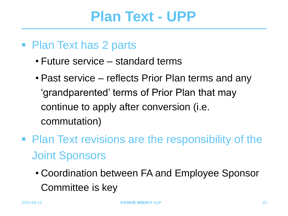### **Plan Text - UPP**

- Plan Text has 2 parts
	- Future service standard terms
	- Past service reflects Prior Plan terms and any 'grandparented' terms of Prior Plan that may continue to apply after conversion (i.e. commutation)
- Plan Text revisions are the responsibility of the Joint Sponsors
	- Coordination between FA and Employee Sponsor Committee is key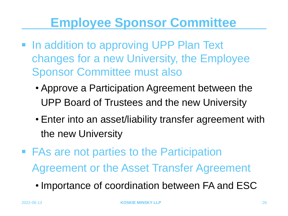### **Employee Sponsor Committee**

- In addition to approving UPP Plan Text changes for a new University, the Employee Sponsor Committee must also
	- Approve a Participation Agreement between the UPP Board of Trustees and the new University
	- Enter into an asset/liability transfer agreement with the new University
- FAs are not parties to the Participation Agreement or the Asset Transfer Agreement
	- Importance of coordination between FA and ESC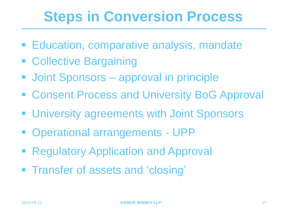## **Steps in Conversion Process**

- **Education, comparative analysis, mandate**
- Collective Bargaining
- Joint Sponsors approval in principle
- Consent Process and University BoG Approval
- **E** University agreements with Joint Sponsors
- Operational arrangements UPP
- Regulatory Application and Approval
- **Figure 1** Transfer of assets and 'closing'